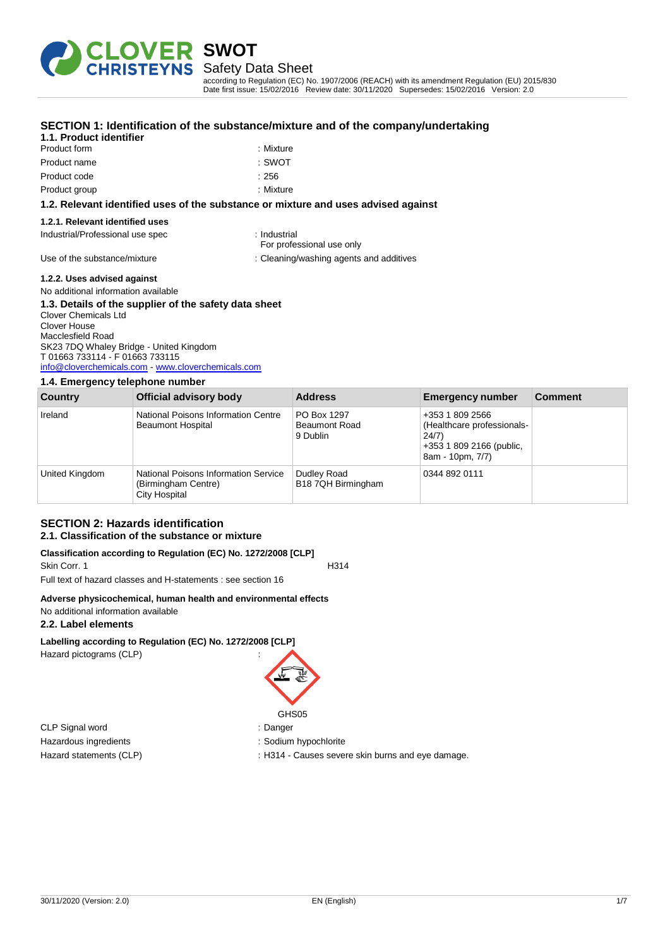

Safety Data Sheet

according to Regulation (EC) No. 1907/2006 (REACH) with its amendment Regulation (EU) 2015/830 Date first issue: 15/02/2016 Review date: 30/11/2020 Supersedes: 15/02/2016 Version: 2.0

| 1.1. Product identifier                                                            |                                           |
|------------------------------------------------------------------------------------|-------------------------------------------|
| Product form                                                                       | : Mixture                                 |
| Product name                                                                       | : SWOT                                    |
| Product code                                                                       | :256                                      |
| Product group                                                                      | : Mixture                                 |
| 1.2. Relevant identified uses of the substance or mixture and uses advised against |                                           |
| 1.2.1. Relevant identified uses                                                    |                                           |
| Industrial/Professional use spec                                                   | : Industrial<br>For professional use only |
| Use of the substance/mixture                                                       | : Cleaning/washing agents and additives   |
|                                                                                    |                                           |

#### **SECTION 1: Identification of the substance/mixture and of the company/undertaking**

**1.2.2. Uses advised against** No additional information available

| 1.3. Details of the supplier of the safety data sheet |
|-------------------------------------------------------|
| <b>Clover Chemicals Ltd</b>                           |
| Clover House                                          |
| Macclesfield Road                                     |
| SK23 7DQ Whaley Bridge - United Kingdom               |
| T 01663 733114 - F 01663 733115                       |
| info@cloverchemicals.com - www.cloverchemicals.com    |

### **1.4. Emergency telephone number**

| Country        | Official advisory body                                                       | <b>Address</b>                                  | <b>Emergency number</b>                                                                                | <b>Comment</b> |
|----------------|------------------------------------------------------------------------------|-------------------------------------------------|--------------------------------------------------------------------------------------------------------|----------------|
| Ireland        | National Poisons Information Centre<br><b>Beaumont Hospital</b>              | PO Box 1297<br><b>Beaumont Road</b><br>9 Dublin | +353 1 809 2566<br>(Healthcare professionals-<br>24/7)<br>+353 1 809 2166 (public,<br>8am - 10pm, 7/7) |                |
| United Kingdom | National Poisons Information Service<br>(Birmingham Centre)<br>City Hospital | Dudley Road<br>B18 7QH Birmingham               | 0344 892 0111                                                                                          |                |

#### **SECTION 2: Hazards identification 2.1. Classification of the substance or mixture**

#### **Classification according to Regulation (EC) No. 1272/2008 [CLP]**

Skin Corr. 1 H314 Full text of hazard classes and H-statements : see section 16

#### **Adverse physicochemical, human health and environmental effects** No additional information available

**2.2. Label elements**

**Labelling according to Regulation (EC) No. 1272/2008 [CLP]** Hazard pictograms (CLP) :

CLP Signal word : Danger Hazardous ingredients in the state of the state of the Sodium hypochlorite

GHS05

Hazard statements (CLP) : H314 - Causes severe skin burns and eye damage.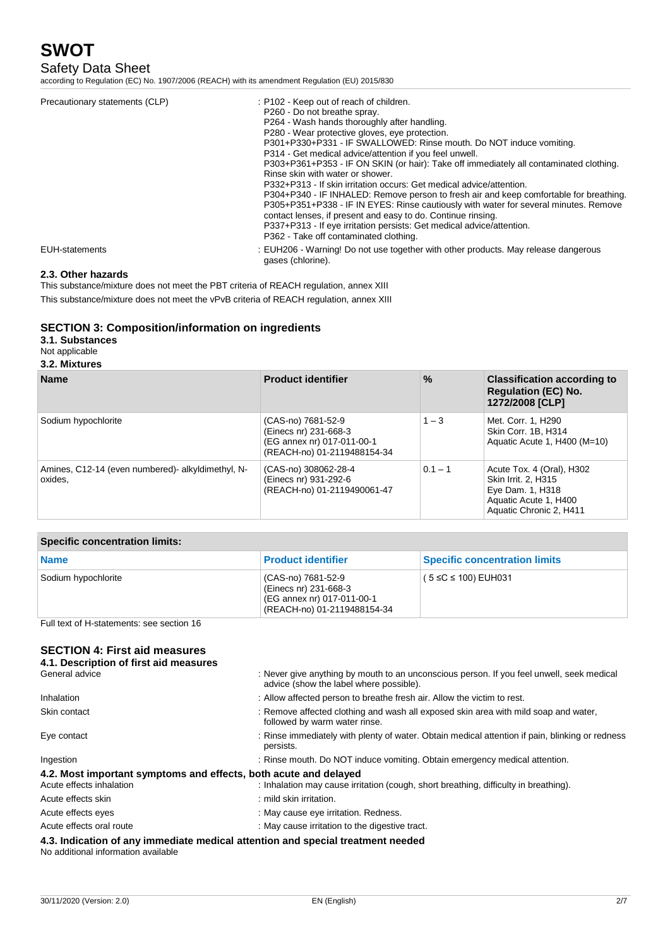## Safety Data Sheet

according to Regulation (EC) No. 1907/2006 (REACH) with its amendment Regulation (EU) 2015/830

| Precautionary statements (CLP) | : P102 - Keep out of reach of children.                                                                 |
|--------------------------------|---------------------------------------------------------------------------------------------------------|
|                                | P260 - Do not breathe spray.                                                                            |
|                                | P264 - Wash hands thoroughly after handling.                                                            |
|                                | P280 - Wear protective gloves, eve protection.                                                          |
|                                | P301+P330+P331 - IF SWALLOWED: Rinse mouth. Do NOT induce vomiting.                                     |
|                                | P314 - Get medical advice/attention if you feel unwell.                                                 |
|                                | P303+P361+P353 - IF ON SKIN (or hair): Take off immediately all contaminated clothing.                  |
|                                | Rinse skin with water or shower.                                                                        |
|                                | P332+P313 - If skin irritation occurs: Get medical advice/attention.                                    |
|                                | P304+P340 - IF INHALED: Remove person to fresh air and keep comfortable for breathing.                  |
|                                | P305+P351+P338 - IF IN EYES: Rinse cautiously with water for several minutes. Remove                    |
|                                | contact lenses, if present and easy to do. Continue rinsing.                                            |
|                                | P337+P313 - If eye irritation persists: Get medical advice/attention.                                   |
|                                | P362 - Take off contaminated clothing.                                                                  |
| EUH-statements                 | : EUH206 - Warning! Do not use together with other products. May release dangerous<br>gases (chlorine). |

#### **2.3. Other hazards**

This substance/mixture does not meet the PBT criteria of REACH regulation, annex XIII This substance/mixture does not meet the vPvB criteria of REACH regulation, annex XIII

### **SECTION 3: Composition/information on ingredients**

### **3.1. Substances**

Not applicable

### **3.2. Mixtures**

| <b>Name</b>                                                  | <b>Product identifier</b>                                                                                | $\%$      | <b>Classification according to</b><br><b>Regulation (EC) No.</b><br>1272/2008 [CLP]                                      |
|--------------------------------------------------------------|----------------------------------------------------------------------------------------------------------|-----------|--------------------------------------------------------------------------------------------------------------------------|
| Sodium hypochlorite                                          | (CAS-no) 7681-52-9<br>(Einecs nr) 231-668-3<br>(EG annex nr) 017-011-00-1<br>(REACH-no) 01-2119488154-34 | $1 - 3$   | Met. Corr. 1. H290<br>Skin Corr. 1B, H314<br>Aquatic Acute 1, H400 (M=10)                                                |
| Amines, C12-14 (even numbered)- alkyldimethyl, N-<br>oxides. | (CAS-no) 308062-28-4<br>(Einecs nr) 931-292-6<br>(REACH-no) 01-2119490061-47                             | $0.1 - 1$ | Acute Tox. 4 (Oral), H302<br>Skin Irrit. 2, H315<br>Eye Dam. 1, H318<br>Aquatic Acute 1, H400<br>Aquatic Chronic 2, H411 |

| <b>Specific concentration limits:</b> |                           |  |
|---------------------------------------|---------------------------|--|
| <b>Name</b>                           | <b>Product identifier</b> |  |
|                                       |                           |  |

| <b>Name</b>         | <b>Product identifier</b>                                                                                | <b>Specific concentration limits</b> |
|---------------------|----------------------------------------------------------------------------------------------------------|--------------------------------------|
| Sodium hypochlorite | (CAS-no) 7681-52-9<br>(Einecs nr) 231-668-3<br>(EG annex nr) 017-011-00-1<br>(REACH-no) 01-2119488154-34 | ( $5 ≤ C ≤ 100$ ) EUH031             |

Full text of H-statements: see section 16

## **SECTION 4: First aid**

| General advice                                                   | : Never give anything by mouth to an unconscious person. If you feel unwell, seek medical<br>advice (show the label where possible). |
|------------------------------------------------------------------|--------------------------------------------------------------------------------------------------------------------------------------|
| Inhalation                                                       | : Allow affected person to breathe fresh air. Allow the victim to rest.                                                              |
| Skin contact                                                     | : Remove affected clothing and wash all exposed skin area with mild soap and water,<br>followed by warm water rinse.                 |
| Eye contact                                                      | : Rinse immediately with plenty of water. Obtain medical attention if pain, blinking or redness<br>persists.                         |
| Ingestion                                                        | : Rinse mouth. Do NOT induce vomiting. Obtain emergency medical attention.                                                           |
| 4.2. Most important symptoms and effects, both acute and delayed |                                                                                                                                      |
| Acute effects inhalation                                         | : Inhalation may cause irritation (cough, short breathing, difficulty in breathing).                                                 |
| Acute effects skin                                               | : mild skin irritation.                                                                                                              |
| Acute effects eyes                                               | : May cause eye irritation. Redness.                                                                                                 |
| Acute effects oral route                                         | : May cause irritation to the digestive tract.                                                                                       |
| No additional information available                              | 4.3. Indication of any immediate medical attention and special treatment needed                                                      |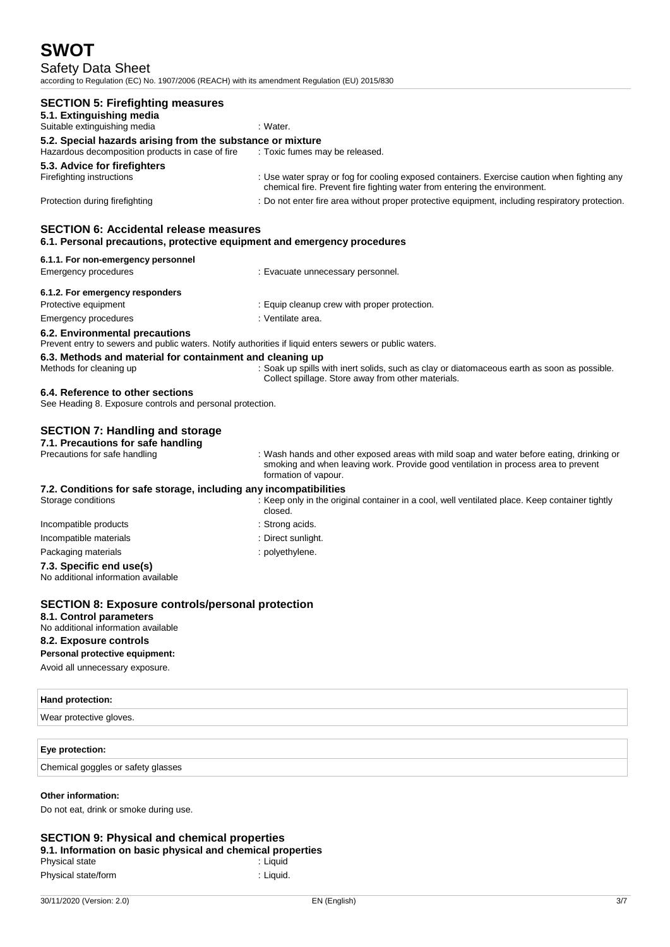## Safety Data Sheet

according to Regulation (EC) No. 1907/2006 (REACH) with its amendment Regulation (EU) 2015/830

| <b>SECTION 5: Firefighting measures</b><br>5.1. Extinguishing media<br>Suitable extinguishing media                                       | : Water.                                                                                                                                                                                               |  |
|-------------------------------------------------------------------------------------------------------------------------------------------|--------------------------------------------------------------------------------------------------------------------------------------------------------------------------------------------------------|--|
| 5.2. Special hazards arising from the substance or mixture<br>Hazardous decomposition products in case of fire                            | : Toxic fumes may be released.                                                                                                                                                                         |  |
| 5.3. Advice for firefighters<br>Firefighting instructions                                                                                 | : Use water spray or fog for cooling exposed containers. Exercise caution when fighting any<br>chemical fire. Prevent fire fighting water from entering the environment.                               |  |
| Protection during firefighting                                                                                                            | : Do not enter fire area without proper protective equipment, including respiratory protection.                                                                                                        |  |
| <b>SECTION 6: Accidental release measures</b><br>6.1. Personal precautions, protective equipment and emergency procedures                 |                                                                                                                                                                                                        |  |
| 6.1.1. For non-emergency personnel                                                                                                        |                                                                                                                                                                                                        |  |
| Emergency procedures                                                                                                                      | : Evacuate unnecessary personnel.                                                                                                                                                                      |  |
| 6.1.2. For emergency responders                                                                                                           |                                                                                                                                                                                                        |  |
| Protective equipment                                                                                                                      | : Equip cleanup crew with proper protection.                                                                                                                                                           |  |
| Emergency procedures                                                                                                                      | : Ventilate area.                                                                                                                                                                                      |  |
| 6.2. Environmental precautions<br>Prevent entry to sewers and public waters. Notify authorities if liquid enters sewers or public waters. |                                                                                                                                                                                                        |  |
| 6.3. Methods and material for containment and cleaning up                                                                                 |                                                                                                                                                                                                        |  |
| Methods for cleaning up                                                                                                                   | : Soak up spills with inert solids, such as clay or diatomaceous earth as soon as possible.<br>Collect spillage. Store away from other materials.                                                      |  |
| 6.4. Reference to other sections<br>See Heading 8. Exposure controls and personal protection.                                             |                                                                                                                                                                                                        |  |
| <b>SECTION 7: Handling and storage</b>                                                                                                    |                                                                                                                                                                                                        |  |
| 7.1. Precautions for safe handling<br>Precautions for safe handling                                                                       | : Wash hands and other exposed areas with mild soap and water before eating, drinking or<br>smoking and when leaving work. Provide good ventilation in process area to prevent<br>formation of vapour. |  |
| 7.2. Conditions for safe storage, including any incompatibilities<br>Storage conditions                                                   | : Keep only in the original container in a cool, well ventilated place. Keep container tightly<br>closed.                                                                                              |  |
| Incompatible products                                                                                                                     | : Strong acids.                                                                                                                                                                                        |  |
| Incompatible materials                                                                                                                    | : Direct sunlight.                                                                                                                                                                                     |  |
| Packaging materials                                                                                                                       | : polyethylene.                                                                                                                                                                                        |  |
| 7.3. Specific end use(s)<br>No additional information available                                                                           |                                                                                                                                                                                                        |  |
| <b>SECTION 8: Exposure controls/personal protection</b><br>8.1. Control parameters<br>No additional information available                 |                                                                                                                                                                                                        |  |
| 8.2. Exposure controls                                                                                                                    |                                                                                                                                                                                                        |  |
| Personal protective equipment:                                                                                                            |                                                                                                                                                                                                        |  |
| Avoid all unnecessary exposure.                                                                                                           |                                                                                                                                                                                                        |  |
| Hand protection:                                                                                                                          |                                                                                                                                                                                                        |  |
| Wear protective gloves.                                                                                                                   |                                                                                                                                                                                                        |  |
| Eye protection:                                                                                                                           |                                                                                                                                                                                                        |  |
| Chemical goggles or safety glasses                                                                                                        |                                                                                                                                                                                                        |  |
| <b>Other information:</b>                                                                                                                 |                                                                                                                                                                                                        |  |
| Do not eat, drink or smoke during use.                                                                                                    |                                                                                                                                                                                                        |  |
|                                                                                                                                           |                                                                                                                                                                                                        |  |

## **SECTION 9: Physical and chemical properties 9.1. Information on basic physical and chemical properties**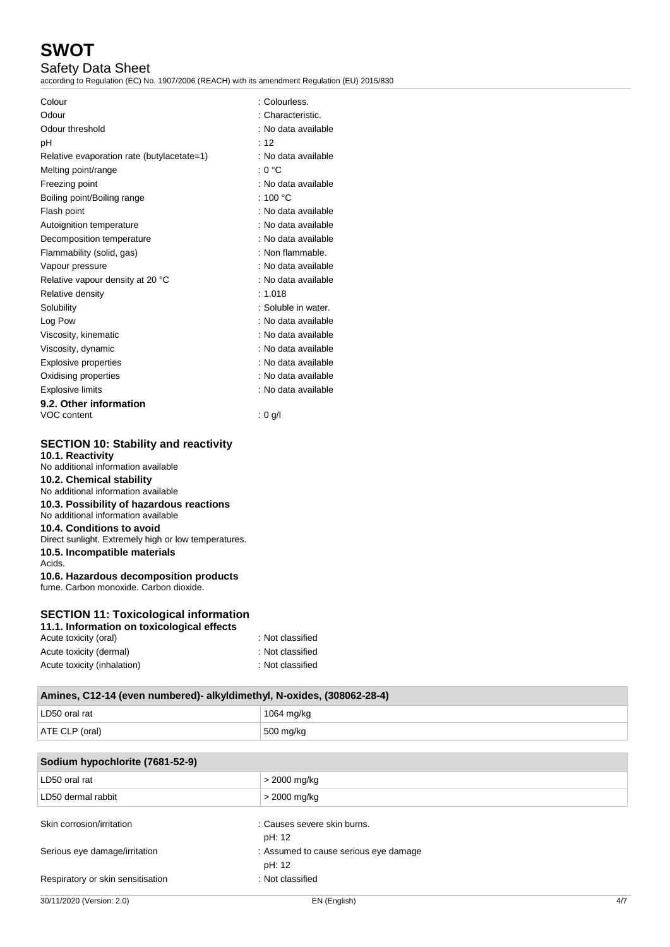## Safety Data Sheet

according to Regulation (EC) No. 1907/2006 (REACH) with its amendment Regulation (EU) 2015/830

| Colour                                     | : Colourless.       |
|--------------------------------------------|---------------------|
| Odour                                      | : Characteristic.   |
| Odour threshold                            | : No data available |
| рH                                         | : 12                |
| Relative evaporation rate (butylacetate=1) | : No data available |
| Melting point/range                        | : 0 °C              |
| Freezing point                             | : No data available |
| Boiling point/Boiling range                | : 100 $^{\circ}$ C  |
| Flash point                                | : No data available |
| Autoignition temperature                   | : No data available |
| Decomposition temperature                  | : No data available |
| Flammability (solid, gas)                  | : Non flammable.    |
| Vapour pressure                            | : No data available |
| Relative vapour density at 20 °C           | : No data available |
| Relative density                           | : $1.018$           |
| Solubility                                 | : Soluble in water. |
| Log Pow                                    | : No data available |
| Viscosity, kinematic                       | : No data available |
| Viscosity, dynamic                         | : No data available |
| <b>Explosive properties</b>                | : No data available |
| Oxidising properties                       | : No data available |
| <b>Explosive limits</b>                    | : No data available |
| 9.2. Other information                     |                     |
| VOC content                                | $: 0$ g/l           |

## **SECTION 10: Stability and reactivity**

**10.1. Reactivity** No additional information available **10.2. Chemical stability** No additional information available **10.3. Possibility of hazardous reactions** No additional information available **10.4. Conditions to avoid** Direct sunlight. Extremely high or low temperatures. **10.5. Incompatible materials** Acids. **10.6. Hazardous decomposition products** fume. Carbon monoxide. Carbon dioxide.

## **SECTION 11: Toxicological information**

| 11.1. Information on toxicological effects |                  |
|--------------------------------------------|------------------|
| Acute toxicity (oral)                      | : Not classified |
| Acute toxicity (dermal)                    | : Not classified |
| Acute toxicity (inhalation)                | : Not classified |

ATE CLP (oral) 600 mg/kg

## **Amines, C12-14 (even numbered)- alkyldimethyl, N-oxides, (308062-28-4)** LD50 oral rat 1064 mg/kg

| Sodium hypochlorite (7681-52-9)   |                                                 |     |
|-----------------------------------|-------------------------------------------------|-----|
| LD50 oral rat                     | > 2000 mg/kg                                    |     |
| LD50 dermal rabbit                | > 2000 mg/kg                                    |     |
| Skin corrosion/irritation         | : Causes severe skin burns.<br>pH: 12           |     |
| Serious eye damage/irritation     | : Assumed to cause serious eye damage<br>pH: 12 |     |
| Respiratory or skin sensitisation | : Not classified                                |     |
| 30/11/2020 (Version: 2.0)         | EN (English)                                    | 4/7 |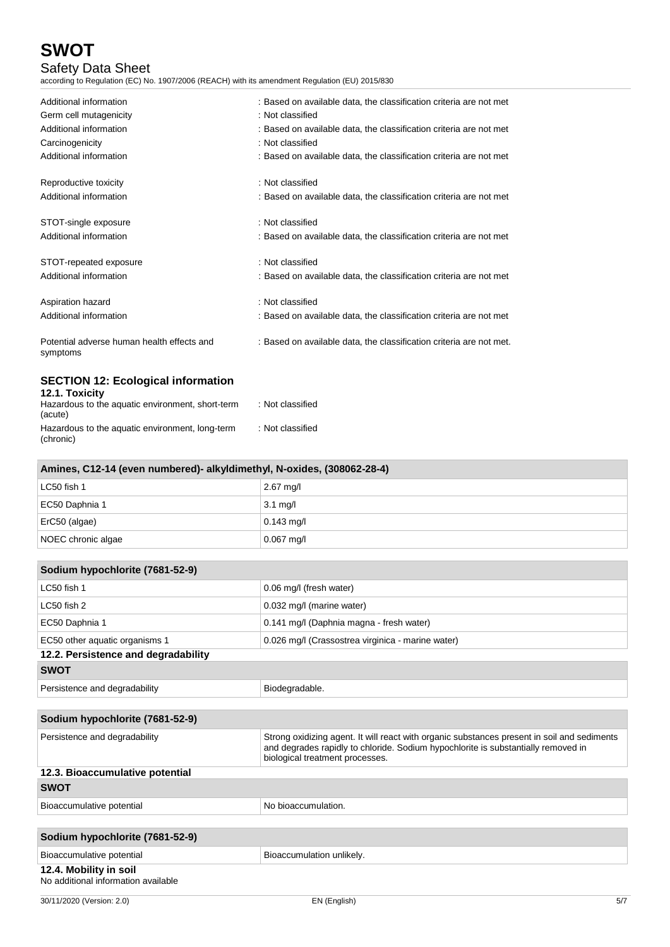## Safety Data Sheet

according to Regulation (EC) No. 1907/2006 (REACH) with its amendment Regulation (EU) 2015/830

| Additional information                                      | : Based on available data, the classification criteria are not met  |
|-------------------------------------------------------------|---------------------------------------------------------------------|
| Germ cell mutagenicity                                      | : Not classified                                                    |
| Additional information                                      | : Based on available data, the classification criteria are not met  |
| Carcinogenicity                                             | : Not classified                                                    |
| Additional information                                      | : Based on available data, the classification criteria are not met  |
| Reproductive toxicity                                       | : Not classified                                                    |
| Additional information                                      | : Based on available data, the classification criteria are not met  |
| STOT-single exposure                                        | : Not classified                                                    |
| Additional information                                      | : Based on available data, the classification criteria are not met  |
| STOT-repeated exposure                                      | : Not classified                                                    |
| Additional information                                      | : Based on available data, the classification criteria are not met  |
| Aspiration hazard                                           | : Not classified                                                    |
| Additional information                                      | : Based on available data, the classification criteria are not met  |
| Potential adverse human health effects and<br>symptoms      | : Based on available data, the classification criteria are not met. |
| <b>SECTION 12: Ecological information</b><br>12.1. Toxicity |                                                                     |
| Hazardous to the aquatic environment, short-term<br>(acute) | : Not classified                                                    |

Hazardous to the aquatic environment, long-term (chronic) : Not classified

| Amines, C12-14 (even numbered)- alkyldimethyl, N-oxides, (308062-28-4) |                     |  |
|------------------------------------------------------------------------|---------------------|--|
| LC50 fish 1                                                            | $2.67 \text{ mq/l}$ |  |
| EC50 Daphnia 1                                                         | $3.1 \text{ mg/l}$  |  |
| ErC50 (algae)                                                          | $0.143$ mg/l        |  |
| NOEC chronic algae                                                     | $0.067$ mg/l        |  |

| Sodium hypochlorite (7681-52-9)                               |                                                                                                                                                                                                                     |  |
|---------------------------------------------------------------|---------------------------------------------------------------------------------------------------------------------------------------------------------------------------------------------------------------------|--|
| LC50 fish 1                                                   | 0.06 mg/l (fresh water)                                                                                                                                                                                             |  |
| LC50 fish 2                                                   | 0.032 mg/l (marine water)                                                                                                                                                                                           |  |
| EC50 Daphnia 1                                                | 0.141 mg/l (Daphnia magna - fresh water)                                                                                                                                                                            |  |
| EC50 other aquatic organisms 1                                | 0.026 mg/l (Crassostrea virginica - marine water)                                                                                                                                                                   |  |
| 12.2. Persistence and degradability                           |                                                                                                                                                                                                                     |  |
| <b>SWOT</b>                                                   |                                                                                                                                                                                                                     |  |
| Persistence and degradability                                 | Biodegradable.                                                                                                                                                                                                      |  |
|                                                               |                                                                                                                                                                                                                     |  |
| Sodium hypochlorite (7681-52-9)                               |                                                                                                                                                                                                                     |  |
| Persistence and degradability                                 | Strong oxidizing agent. It will react with organic substances present in soil and sediments<br>and degrades rapidly to chloride. Sodium hypochlorite is substantially removed in<br>biological treatment processes. |  |
| 12.3. Bioaccumulative potential                               |                                                                                                                                                                                                                     |  |
| <b>SWOT</b>                                                   |                                                                                                                                                                                                                     |  |
| Bioaccumulative potential                                     | No bioaccumulation.                                                                                                                                                                                                 |  |
|                                                               |                                                                                                                                                                                                                     |  |
| Sodium hypochlorite (7681-52-9)                               |                                                                                                                                                                                                                     |  |
| Bioaccumulative potential                                     | Bioaccumulation unlikely.                                                                                                                                                                                           |  |
| 12.4. Mobility in soil<br>No additional information available |                                                                                                                                                                                                                     |  |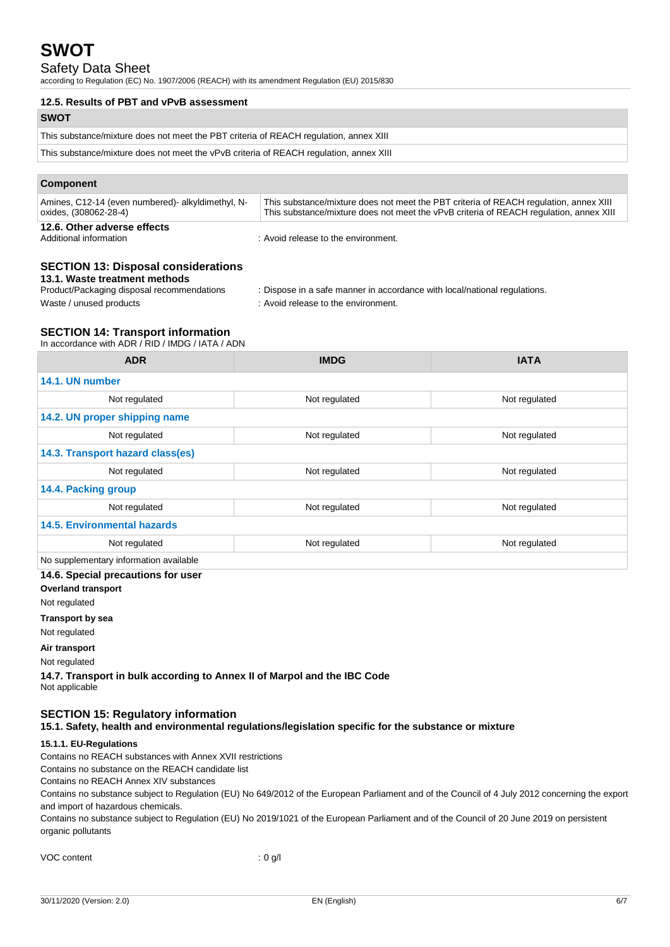## Safety Data Sheet

according to Regulation (EC) No. 1907/2006 (REACH) with its amendment Regulation (EU) 2015/830

#### **12.5. Results of PBT and vPvB assessment**

| <b>SWOT</b>                                                                            |
|----------------------------------------------------------------------------------------|
| This substance/mixture does not meet the PBT criteria of REACH regulation, annex XIII  |
| This substance/mixture does not meet the vPvB criteria of REACH regulation, annex XIII |
|                                                                                        |
| Component                                                                              |

| This substance/mixture does not meet the PBT criteria of REACH regulation, annex XIII<br>This substance/mixture does not meet the vPvB criteria of REACH regulation, annex XIII | 12.6. Other adverse effects                                               |  |
|---------------------------------------------------------------------------------------------------------------------------------------------------------------------------------|---------------------------------------------------------------------------|--|
|                                                                                                                                                                                 | Amines, C12-14 (even numbered) alkyldimethyl, N-<br>oxides, (308062-28-4) |  |

Additional information : Avoid release to the environment.

## **SECTION 13: Disposal considerations**

# **13.1. Waste treatment methods**<br>Product/Packaging disposal recommendations

: Dispose in a safe manner in accordance with local/national regulations.

Waste / unused products in the environment.

### **SECTION 14: Transport information**

In accordance with ADR / RID / IMDG / IATA / ADN

| <b>ADR</b>                             | <b>IMDG</b>   | <b>IATA</b>   |  |  |
|----------------------------------------|---------------|---------------|--|--|
| 14.1. UN number                        |               |               |  |  |
| Not regulated                          | Not regulated | Not regulated |  |  |
| 14.2. UN proper shipping name          |               |               |  |  |
| Not regulated                          | Not regulated | Not regulated |  |  |
| 14.3. Transport hazard class(es)       |               |               |  |  |
| Not regulated                          | Not regulated | Not regulated |  |  |
| 14.4. Packing group                    |               |               |  |  |
| Not regulated                          | Not regulated | Not regulated |  |  |
| <b>14.5. Environmental hazards</b>     |               |               |  |  |
| Not regulated                          | Not regulated | Not regulated |  |  |
| No supplementary information available |               |               |  |  |
| 14.6. Special precautions for user     |               |               |  |  |

**Overland transport**

Not regulated

**Transport by sea**

Not regulated

**Air transport**

Not regulated

**14.7. Transport in bulk according to Annex II of Marpol and the IBC Code** Not applicable

## **SECTION 15: Regulatory information**

**15.1. Safety, health and environmental regulations/legislation specific for the substance or mixture**

### **15.1.1. EU-Regulations**

Contains no REACH substances with Annex XVII restrictions

Contains no substance on the REACH candidate list

Contains no REACH Annex XIV substances

Contains no substance subject to Regulation (EU) No 649/2012 of the European Parliament and of the Council of 4 July 2012 concerning the export and import of hazardous chemicals.

Contains no substance subject to Regulation (EU) No 2019/1021 of the European Parliament and of the Council of 20 June 2019 on persistent organic pollutants

| VOC content | : 0 g/l |
|-------------|---------|
|-------------|---------|